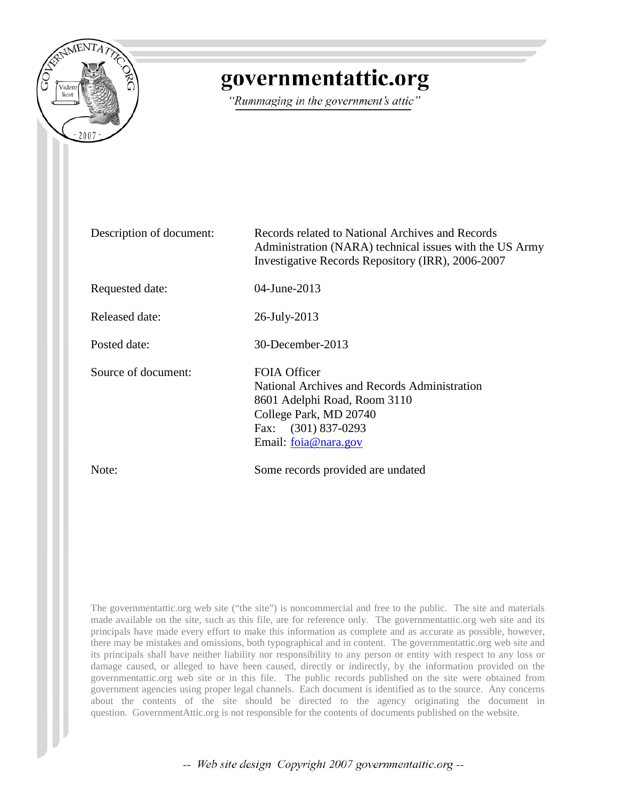

# governmentattic.org

"Rummaging in the government's attic"

| Description of document: | Records related to National Archives and Records<br>Administration (NARA) technical issues with the US Army<br>Investigative Records Repository (IRR), 2006-2007             |
|--------------------------|------------------------------------------------------------------------------------------------------------------------------------------------------------------------------|
| Requested date:          | 04-June-2013                                                                                                                                                                 |
| <b>Released date:</b>    | 26-July-2013                                                                                                                                                                 |
| Posted date:             | 30-December-2013                                                                                                                                                             |
| Source of document:      | FOIA Officer<br>National Archives and Records Administration<br>8601 Adelphi Road, Room 3110<br>College Park, MD 20740<br>Fax: (301) 837-0293<br>Email: <u>foia@nara.gov</u> |
| Note:                    | Some records provided are undated                                                                                                                                            |

The governmentattic.org web site ("the site") is noncommercial and free to the public. The site and materials made available on the site, such as this file, are for reference only. The governmentattic.org web site and its principals have made every effort to make this information as complete and as accurate as possible, however, there may be mistakes and omissions, both typographical and in content. The governmentattic.org web site and its principals shall have neither liability nor responsibility to any person or entity with respect to any loss or damage caused, or alleged to have been caused, directly or indirectly, by the information provided on the governmentattic.org web site or in this file. The public records published on the site were obtained from government agencies using proper legal channels. Each document is identified as to the source. Any concerns about the contents of the site should be directed to the agency originating the document in question. GovernmentAttic.org is not responsible for the contents of documents published on the website.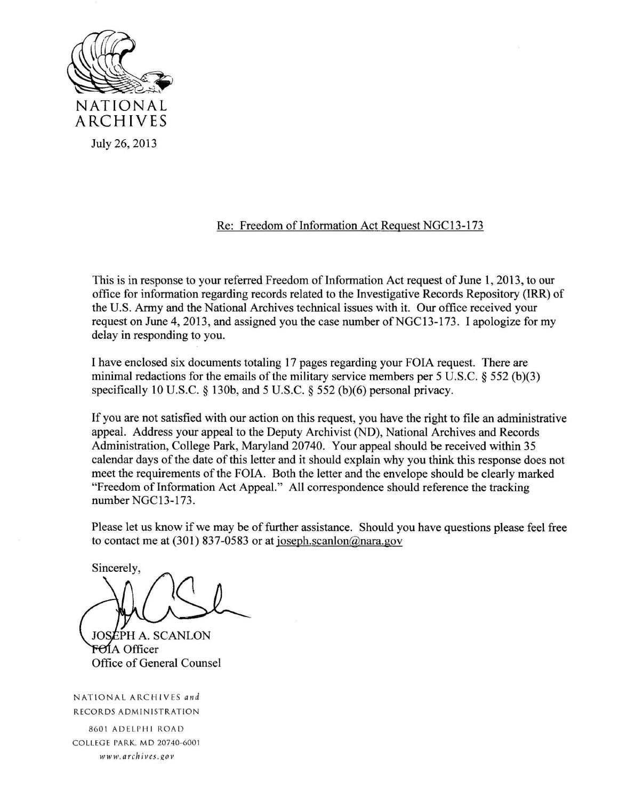

## Re: Freedom of Information Act Request NGC13-173

This is in response to your referred Freedom of Information Act request of June 1, 2013, to our office for information regarding records related to the Investigative Records Repository (IRR) of the U.S. Army and the National Archives technical issues with it. Our office received your request on June 4, 2013, and assigned you the case number of NGC13-173. I apologize for my delay in responding to you.

I have enclosed six documents totaling 17 pages regarding your FOIA request. There are minimal redactions for the emails of the military service members per 5 U.S.C. § 552 (b)(3) specifically 10 U.S.C. § 130b, and 5 U.S.C. § 552 (b)(6) personal privacy.

If you are not satisfied with our action on this request, you have the right to file an administrative appeal. Address your appeal to the Deputy Archivist (ND), National Archives and Records Administration, College Park, Maryland 20740. Your appeal should be received within 35 calendar days of the date of this letter and it should explain why you think this response does not meet the requirements of the FOIA. Both the letter and the envelope should be clearly marked "Freedom of Information Act Appeal." All correspondence should reference the tracking number NGC13-173.

Please let us know if we may be of further assistance. Should you have questions please feel free to contact me at (301) 837-0583 or at joseph.scanlon@nara.gov

Sincerely.

**JOSEPH A. SCANLON** FOIA Officer Office of General Counsel

NATIONAL ARCHIVES and RECORDS ADMINISTRATION

8 601 ADELPHI ROAD CO LLEGE PARK. MD 20740-6001  $wwwarchives.gov$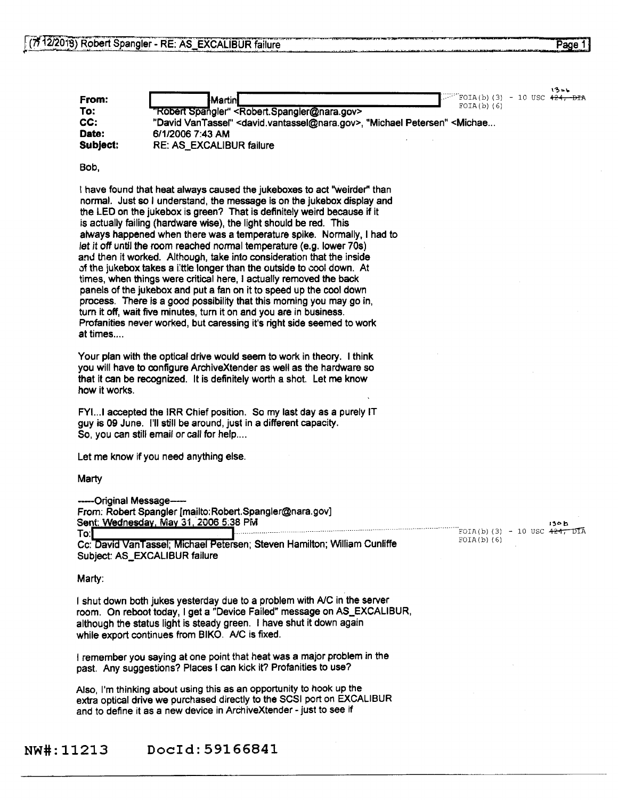|          | いろいし                                                                                                                  |
|----------|-----------------------------------------------------------------------------------------------------------------------|
| From:    | $\Box$ FOIA(b)(3) - 10 USC 424, DIA<br><b>I</b> Martini<br>$FOIA(b)$ (6)                                              |
| To:      | "Robert Spangler" <robert.spangler@nara.gov></robert.spangler@nara.gov>                                               |
| CC:      | "David VanTassel" <david.vantassel@nara.gov>, "Michael Petersen" <michae< th=""></michae<></david.vantassel@nara.gov> |
| Date:    | 6/1/2006 7:43 AM                                                                                                      |
| Subject: | <b>RE: AS_EXCALIBUR failure</b>                                                                                       |

Bob,

I have found that heat always caused the jukeboxes to act "weirder'' than normal. Just so I understand, the message is on the jukebox display and the LED on the jukebox is green? That is definitely weird because if it is actually failing (hardware wise), the light should be red. This always happened when there was a temperature spike. Normally, I had to let it off until the room reached normal temperature (e.g. lower 70s) and then it worked. Although, take into consideration that the inside of the jukebox takes a little longer than the outside to cool down. At times, when things were critical here, I actually removed the back panels of the jukebox and put a fan on it to speed up the cool down process. There is a good possibility that this morning you may go in, turn it off, wait five minutes, turn it on and you are in business. Profanities never worked, but caressing it's right side seemed to work at times....

Your plan with the optical drive would seem to work in theory. I think you will have to configure ArchiveXtender as well as the hardware so that it can be recognized. It is definitely worth a shot. Let me know how it works.

FYl...I accepted the IRR Chief position. So my last day as a purely IT guy is 09 June. I'll still be around, just in a different capacity. So, you can still email or call for help....

Let me know if you need anything else.

#### **Marty**

--Original Message-From: Robert Spangler {mailto:Robert.Spangler@nara.gov] Sent: Wednesday, May 31, 2006 5:38 PM

To:**|**<br>Cc: David VanTassel; Michael Petersen; Steven Hamilton; William Cunliffe Subject: AS\_EXCALIBUR failure

#### Marty:

I shut down both jukes yesterday due to a problem with *NC* in the server room. On reboot today, I get a "Device Failed" message on AS\_EXCALIBUR, although the status light is steady green. I have shut it down again while export continues from BIKO. A/C is fixed.

I remember you saying at one point that heat was a major problem in the past. Any suggestions? Places I can kick it? Profanities to use?

Also, I'm thinking about using this as an opportunity to hook up the extra optical drive we purchased directly to the SCSI port on EXCALIBUR and to define it as a new device in ArchiveXtender - just to see if

### NW#:11213 Docld:59166841

l'Ob **130 b**<br>FOIA(b)(3) – 10 USC <del>424, DI</del>A<br>FOIA(b)(6)  $FOIA(b)$   $(6)$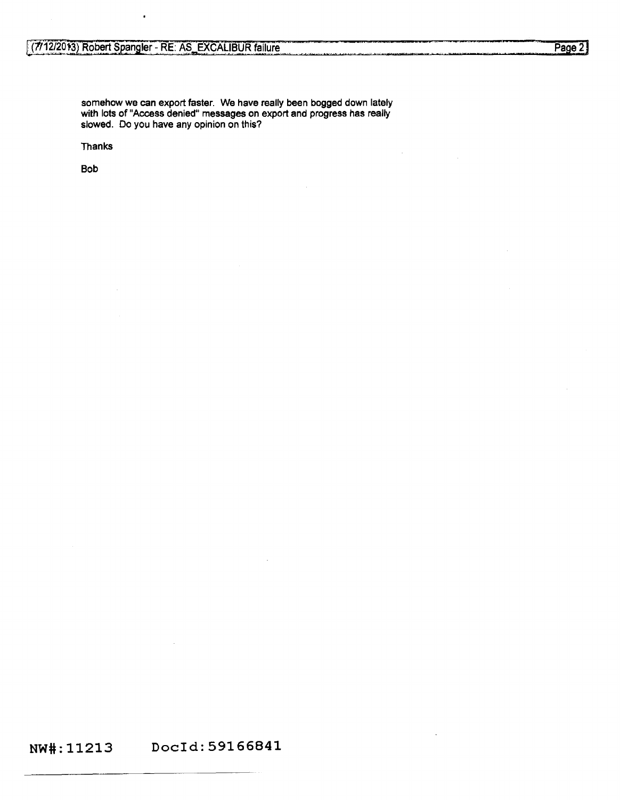somehow we can export faster. We have really been bogged down lately with lots of "Access denied" messages on export and progress has really slowed. Do you have any opinion on this?

Thanks

Bob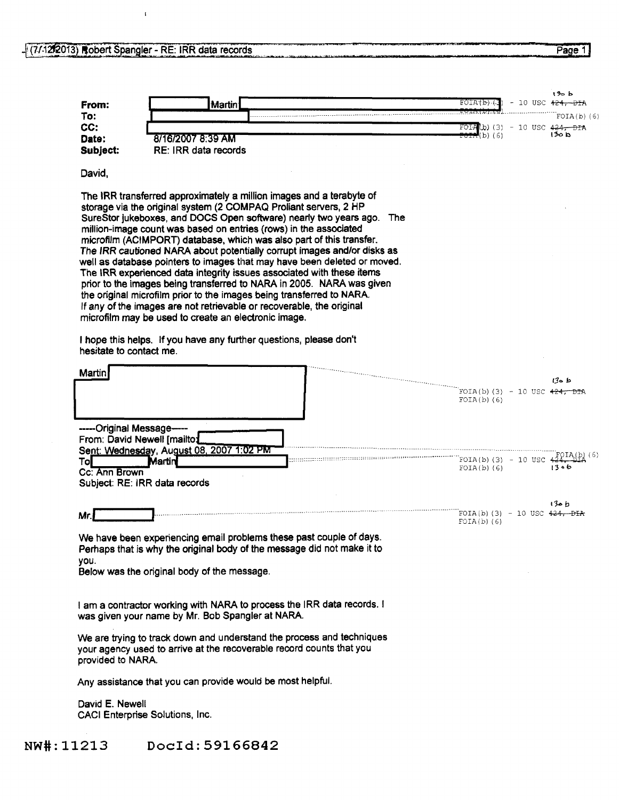# - (7/12/2013) Robert Spangler - RE: IRR data records

 $\langle \mathbf{t} \rangle$ 

| To:                                                   |        | Martin                                      |                                                                                                                                                                                                                                                                                                                                                                                                                                                                                                                                                                                                                                                                                                                                                                                                                                                                                             |     | FOIA(b)                                  | – 10 USC <del>424.</del> |                                         |
|-------------------------------------------------------|--------|---------------------------------------------|---------------------------------------------------------------------------------------------------------------------------------------------------------------------------------------------------------------------------------------------------------------------------------------------------------------------------------------------------------------------------------------------------------------------------------------------------------------------------------------------------------------------------------------------------------------------------------------------------------------------------------------------------------------------------------------------------------------------------------------------------------------------------------------------------------------------------------------------------------------------------------------------|-----|------------------------------------------|--------------------------|-----------------------------------------|
|                                                       |        |                                             |                                                                                                                                                                                                                                                                                                                                                                                                                                                                                                                                                                                                                                                                                                                                                                                                                                                                                             |     |                                          |                          | $FOIA(b)$ (6)                           |
| CC:                                                   |        |                                             |                                                                                                                                                                                                                                                                                                                                                                                                                                                                                                                                                                                                                                                                                                                                                                                                                                                                                             |     | FOIA<br>(P) (3)<br>(b)(6)                |                          | - 10 USC 4 <del>24, DIA</del><br>ط 20 ا |
| Date:                                                 |        | 8/16/2007 8:39 AM                           |                                                                                                                                                                                                                                                                                                                                                                                                                                                                                                                                                                                                                                                                                                                                                                                                                                                                                             |     |                                          |                          |                                         |
| Subject:                                              |        | RE: IRR data records                        |                                                                                                                                                                                                                                                                                                                                                                                                                                                                                                                                                                                                                                                                                                                                                                                                                                                                                             |     |                                          |                          |                                         |
| David,                                                |        |                                             |                                                                                                                                                                                                                                                                                                                                                                                                                                                                                                                                                                                                                                                                                                                                                                                                                                                                                             |     |                                          |                          |                                         |
| microfilm may be used to create an electronic image.  |        |                                             | The IRR transferred approximately a million images and a terabyte of<br>storage via the original system (2 COMPAQ Prollant servers, 2 HP<br>SureStor jukeboxes, and DOCS Open software) nearly two years ago.<br>million-image count was based on entries (rows) in the associated<br>microfilm (ACIMPORT) database, which was also part of this transfer.<br>The IRR cautioned NARA about potentially corrupt images and/or disks as<br>well as database pointers to images that may have been deleted or moved.<br>The IRR experienced data integrity issues associated with these items<br>prior to the images being transferred to NARA in 2005. NARA was given<br>the original microfilm prior to the images being transferred to NARA.<br>If any of the images are not retrievable or recoverable, the original<br>I hope this helps. If you have any further questions, please don't | The |                                          |                          |                                         |
| hesitate to contact me.<br>Martin                     |        |                                             |                                                                                                                                                                                                                                                                                                                                                                                                                                                                                                                                                                                                                                                                                                                                                                                                                                                                                             |     | FOIA(b)(3) - 10 USC <del>424, DI</del> A |                          | ط ہ3ا                                   |
|                                                       |        |                                             |                                                                                                                                                                                                                                                                                                                                                                                                                                                                                                                                                                                                                                                                                                                                                                                                                                                                                             |     | $FOIA(b)$ (6)                            |                          |                                         |
|                                                       |        |                                             |                                                                                                                                                                                                                                                                                                                                                                                                                                                                                                                                                                                                                                                                                                                                                                                                                                                                                             |     |                                          |                          |                                         |
| -----Original Message-                                |        |                                             |                                                                                                                                                                                                                                                                                                                                                                                                                                                                                                                                                                                                                                                                                                                                                                                                                                                                                             |     |                                          |                          |                                         |
| From: David Newell [mailto]                           |        |                                             |                                                                                                                                                                                                                                                                                                                                                                                                                                                                                                                                                                                                                                                                                                                                                                                                                                                                                             |     |                                          |                          |                                         |
| Sent: Wednesday, August 08, 2007 1:02 PM              |        |                                             |                                                                                                                                                                                                                                                                                                                                                                                                                                                                                                                                                                                                                                                                                                                                                                                                                                                                                             |     |                                          |                          |                                         |
|                                                       | Martin |                                             |                                                                                                                                                                                                                                                                                                                                                                                                                                                                                                                                                                                                                                                                                                                                                                                                                                                                                             |     | FOIA(b)(3) - 10 USC 4                    |                          | foia(b)                                 |
|                                                       |        |                                             |                                                                                                                                                                                                                                                                                                                                                                                                                                                                                                                                                                                                                                                                                                                                                                                                                                                                                             |     | $FOIA(b)$ (6)                            |                          | 1306                                    |
| Tol<br>Cc: Ann Brown<br>Subject: RE: IRR data records |        |                                             |                                                                                                                                                                                                                                                                                                                                                                                                                                                                                                                                                                                                                                                                                                                                                                                                                                                                                             |     |                                          |                          |                                         |
|                                                       |        |                                             |                                                                                                                                                                                                                                                                                                                                                                                                                                                                                                                                                                                                                                                                                                                                                                                                                                                                                             |     |                                          |                          | را هزا $\mathbf b$                      |
| Mr.                                                   |        |                                             |                                                                                                                                                                                                                                                                                                                                                                                                                                                                                                                                                                                                                                                                                                                                                                                                                                                                                             |     | FOIA(b)(3) - 10 USC $424 - DFA$          |                          |                                         |
|                                                       |        |                                             |                                                                                                                                                                                                                                                                                                                                                                                                                                                                                                                                                                                                                                                                                                                                                                                                                                                                                             |     | $FOIA(b)$ (6)                            |                          |                                         |
|                                                       |        |                                             | We have been experiencing email problems these past couple of days.                                                                                                                                                                                                                                                                                                                                                                                                                                                                                                                                                                                                                                                                                                                                                                                                                         |     |                                          |                          |                                         |
| you.                                                  |        |                                             | Perhaps that is why the original body of the message did not make it to                                                                                                                                                                                                                                                                                                                                                                                                                                                                                                                                                                                                                                                                                                                                                                                                                     |     |                                          |                          |                                         |
|                                                       |        | Below was the original body of the message. |                                                                                                                                                                                                                                                                                                                                                                                                                                                                                                                                                                                                                                                                                                                                                                                                                                                                                             |     |                                          |                          |                                         |
|                                                       |        |                                             |                                                                                                                                                                                                                                                                                                                                                                                                                                                                                                                                                                                                                                                                                                                                                                                                                                                                                             |     |                                          |                          |                                         |
| was given your name by Mr. Bob Spangler at NARA.      |        |                                             | I am a contractor working with NARA to process the IRR data records. I                                                                                                                                                                                                                                                                                                                                                                                                                                                                                                                                                                                                                                                                                                                                                                                                                      |     |                                          |                          |                                         |
| provided to NARA.                                     |        |                                             | We are trying to track down and understand the process and techniques<br>your agency used to arrive at the recoverable record counts that you                                                                                                                                                                                                                                                                                                                                                                                                                                                                                                                                                                                                                                                                                                                                               |     |                                          |                          |                                         |
|                                                       |        |                                             | Any assistance that you can provide would be most helpful.                                                                                                                                                                                                                                                                                                                                                                                                                                                                                                                                                                                                                                                                                                                                                                                                                                  |     |                                          |                          |                                         |

NW#:11213 Docid:59166842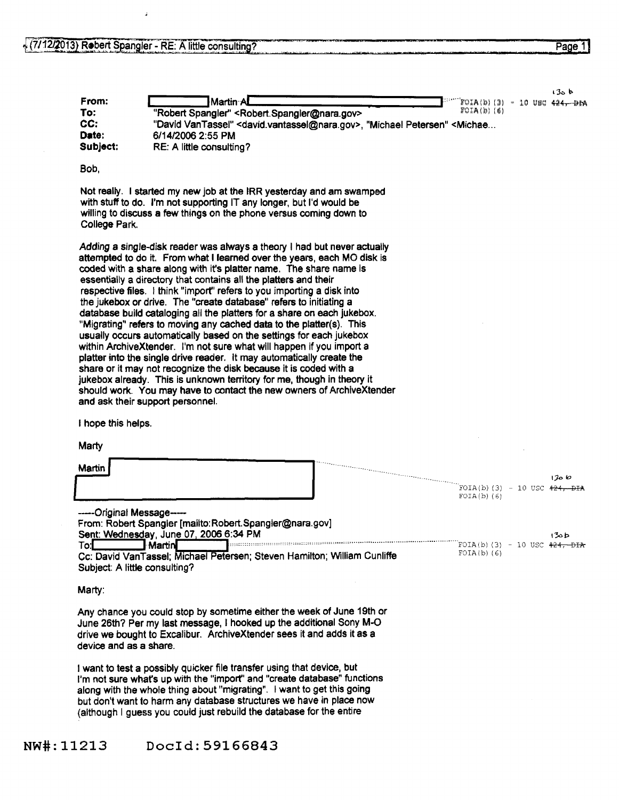á

 $130 b$ 

| To:<br>CC:<br>Date:<br>Subject: | "Robert Spangler" < Robert Spangler@nara.gov><br>"David VanTassel" < david.vantassel@nara.gov>, "Michael Petersen" < Michae<br>6/14/2006 2:55 PM<br>RE: A little consulting?                                                                                                                                                                                                                                                                                                                                                                                                                                                                                                                                                                                                                                                                                                                                                                                                                                                                                                         | $FOIA(b)$ (6)                                    |
|---------------------------------|--------------------------------------------------------------------------------------------------------------------------------------------------------------------------------------------------------------------------------------------------------------------------------------------------------------------------------------------------------------------------------------------------------------------------------------------------------------------------------------------------------------------------------------------------------------------------------------------------------------------------------------------------------------------------------------------------------------------------------------------------------------------------------------------------------------------------------------------------------------------------------------------------------------------------------------------------------------------------------------------------------------------------------------------------------------------------------------|--------------------------------------------------|
| Bob,                            |                                                                                                                                                                                                                                                                                                                                                                                                                                                                                                                                                                                                                                                                                                                                                                                                                                                                                                                                                                                                                                                                                      |                                                  |
| College Park.                   | Not really. I started my new job at the IRR yesterday and am swamped<br>with stuff to do. I'm not supporting IT any longer, but I'd would be<br>willing to discuss a few things on the phone versus coming down to                                                                                                                                                                                                                                                                                                                                                                                                                                                                                                                                                                                                                                                                                                                                                                                                                                                                   |                                                  |
|                                 | Adding a single-disk reader was always a theory I had but never actually<br>attempted to do it. From what I learned over the years, each MO disk is<br>coded with a share along with it's platter name. The share name is<br>essentially a directory that contains all the platters and their<br>respective files. I think "import" refers to you importing a disk into<br>the jukebox or drive. The "create database" refers to initiating a<br>database build cataloging all the platters for a share on each jukebox.<br>"Migrating" refers to moving any cached data to the platter(s). This<br>usually occurs automatically based on the settings for each jukebox<br>within ArchiveXtender. I'm not sure what will happen if you import a<br>platter into the single drive reader. It may automatically create the<br>share or it may not recognize the disk because it is coded with a<br>jukebox already. This is unknown territory for me, though in theory it<br>should work. You may have to contact the new owners of ArchiveXtender<br>and ask their support personnel. |                                                  |
| I hope this helps.              |                                                                                                                                                                                                                                                                                                                                                                                                                                                                                                                                                                                                                                                                                                                                                                                                                                                                                                                                                                                                                                                                                      |                                                  |
| Marty                           |                                                                                                                                                                                                                                                                                                                                                                                                                                                                                                                                                                                                                                                                                                                                                                                                                                                                                                                                                                                                                                                                                      |                                                  |
| Martin                          |                                                                                                                                                                                                                                                                                                                                                                                                                                                                                                                                                                                                                                                                                                                                                                                                                                                                                                                                                                                                                                                                                      | 1300                                             |
|                                 |                                                                                                                                                                                                                                                                                                                                                                                                                                                                                                                                                                                                                                                                                                                                                                                                                                                                                                                                                                                                                                                                                      | FOIA(b)(3) - 10 USC $424, -DIA$<br>$FOIA(b)$ (6) |
| -----Original Message-----      | From: Robert Spangler [mailto: Robert. Spangler@nara.gov]<br>Sent: Wednesday, June 07, 2006 6:34 PM                                                                                                                                                                                                                                                                                                                                                                                                                                                                                                                                                                                                                                                                                                                                                                                                                                                                                                                                                                                  | طفلاا                                            |
| To:L                            | <b>Martin</b><br>Cc: David VanTassel; Michael Petersen; Steven Hamilton; William Cunliffe<br>Subject: A little consulting?                                                                                                                                                                                                                                                                                                                                                                                                                                                                                                                                                                                                                                                                                                                                                                                                                                                                                                                                                           | FOIA(b)(3) - 10 USC $424,$ DIA<br>$FOIA(b)$ (6)  |
| Marty:                          |                                                                                                                                                                                                                                                                                                                                                                                                                                                                                                                                                                                                                                                                                                                                                                                                                                                                                                                                                                                                                                                                                      |                                                  |
| device and as a share.          | Any chance you could stop by sometime either the week of June 19th or<br>June 26th? Per my last message, I hooked up the additional Sony M-O<br>drive we bought to Excalibur. ArchiveXtender sees it and adds it as a                                                                                                                                                                                                                                                                                                                                                                                                                                                                                                                                                                                                                                                                                                                                                                                                                                                                |                                                  |

From:  $\begin{array}{c|c|c|c|c|c|c|c|c} \hline \multicolumn{3}{c|c|c|c} \multicolumn{3}{c|c|c} \multicolumn{3}{c|c|c} \multicolumn{3}{c|c|c} \multicolumn{3}{c|c|c} \multicolumn{3}{c|c|c} \multicolumn{3}{c|c|c} \multicolumn{3}{c|c|c} \multicolumn{3}{c|c|c} \multicolumn{3}{c|c|c} \multicolumn{3}{c|c|c} \multicolumn{3}{c|c|c} \multicolumn{3}{c|c|c} \multicolumn{3}{c|c|c} \multicolumn$ 

I want to test a possibly quicker file transfer using that device, but I'm not sure whafs up with the "import'' and "create database" functions along with the whole thing about "migrating". I want to get this going but don't want to harm any database structures we have in place now (although I guess you could just rebuild the database for the entire

NW#:11213 Doc!d:59166843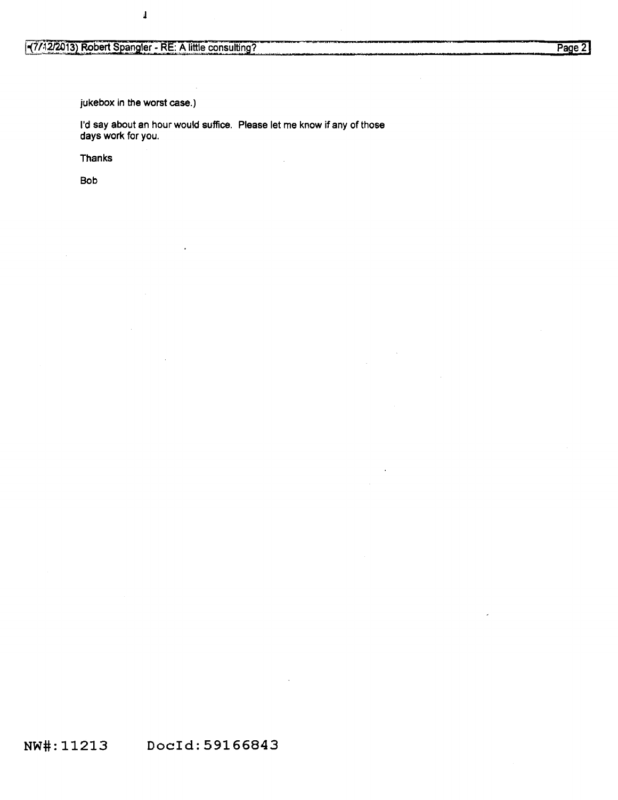$\pmb{\mathsf{l}}$ 

jukebox in the worst case.)

I'd say about an hour would suffice. Please let me know if *any* of those days work for you.

Thanks

Bob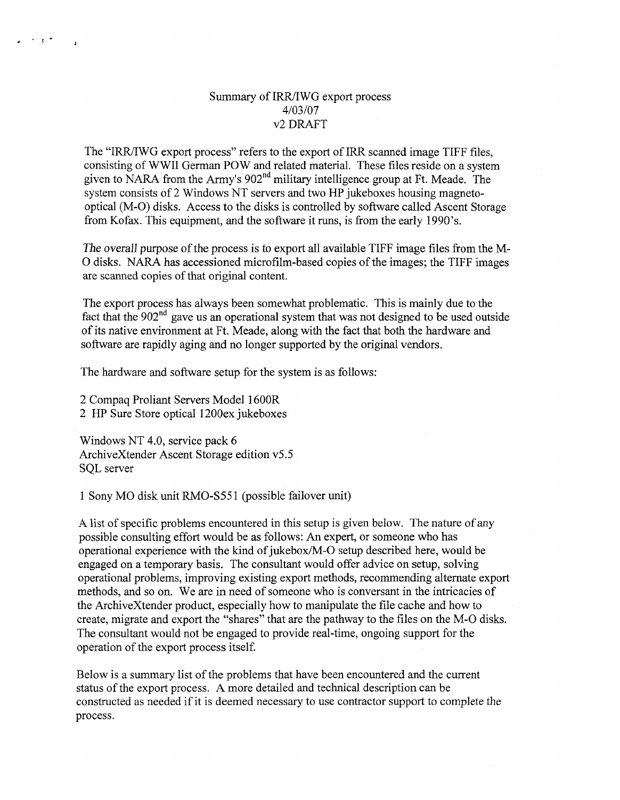### Summary of IRR/IWG export process *4103107*  v2 DRAFT

The "IRR/IWG export process" refers to the export of IRR scanned image TIFF files, consisting of WWII German POW and related material. These files reside on a system given to NARA from the Army's 902<sup>nd</sup> military intelligence group at Ft. Meade. The system consists of 2 Windows NT servers and two HP jukeboxes housing magnetooptical (M-0) disks. Access to the disks is controlled by software called Ascent Storage from Kofax. This equipment, and the software it runs, is from the early 1990's.

*The overall* purpose of the process is to export all available TIFF image files from the M-O disks. NARA has accessioned microfilm-based copies of the images; the TIFF images are scanned copies of that original content.

The export process has always been somewhat problematic. This is mainly due to the fact that the  $902<sup>nd</sup>$  gave us an operational system that was not designed to be used outside of its native environment at Ft. Meade, along with the fact that both the hardware and software are rapidly aging and no longer supported by the original vendors.

The hardware and software setup for the system is as follows:

2 Compaq Proliant Servers Model 1600R 2 HP Sure Store optical 1200ex jukeboxes

 $\sim$  s  $^{-1}$ 

 $\overline{1}$ 

Windows NT 4.0, service pack 6 ArchiveXtender Ascent Storage edition v5.5 SQL server

1 Sony MO disk unit RMO-S55 l (possible failover unit)

A list of specific problems encountered in this setup is given below. The nature of any possible consulting effort would be as follows: An expert, or someone who has operational experience with the kind of jukebox/M-0 setup described here, would be engaged on a temporary basis. The consultant would offer advice on setup, solving operational problems, improving existing export methods, recommending alternate export methods, and so on. We are in need of someone who is conversant in the intricacies of the ArchiveXtender product, especially how to manipulate the file cache and how to create, migrate and export the "shares" that are the pathway to the files on the M-0 disks. The consultant would not be engaged to provide real-time, ongoing support for the operation of the export process itself.

Below is a summary list of the problems that have been encountered and the current status of the export process. A more detailed and technical description can be constructed as needed if it is deemed necessary to use contractor support to complete the process.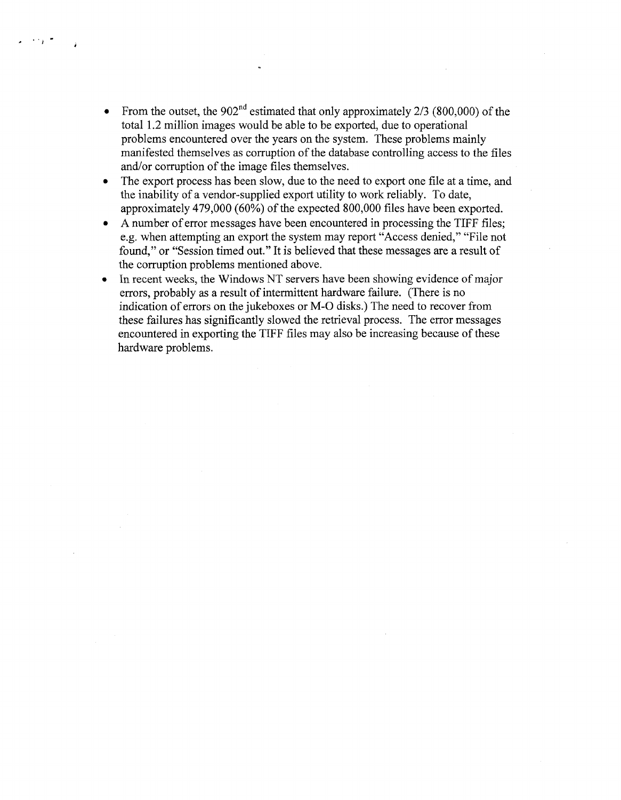• From the outset, the  $902<sup>nd</sup>$  estimated that only approximately 2/3 (800,000) of the total 1.2 million images would be able to be exported, due to operational problems encountered over the years on the system. These problems mainly manifested themselves as corruption of the database controlling access to the files and/or corruption of the image files themselves.

 $\sim 10^{-10}$ 

- The export process has been slow, due to the need to export one file at a time, and the inability of a vendor-supplied export utility to work reliably. To date, approximately 479,000 (60%) of the expected 800,000 files have been exported.
- A number of error messages have been encountered in processing the TIFF files; e.g. when attempting an export the system may report "Access denied," "File not found," or "Session timed out." It is believed that these messages are a result of the corruption problems mentioned above.
- In recent weeks, the Windows NT servers have been showing evidence of major errors, probably as a result of intermittent hardware failure. (There is no indication of errors on the jukeboxes or M-0 disks.) The need to recover from these failures has significantly slowed the retrieval process. The error messages encountered in exporting the TIFF files may also be increasing because of these hardware problems.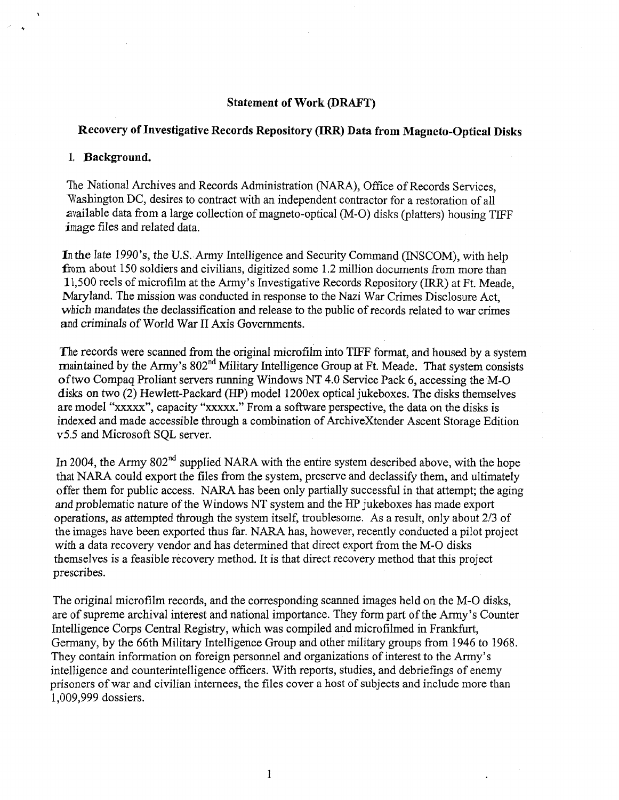#### **Statement of Work (DRAFT)**

## **Recovery of Investigative Records Repository (IRR) Data from Magneto-Optical Disks**

#### **1. Background.**

The National Archives and Records Administration (NARA), Office of Records Services, Washington DC, desires to contract with an independent contractor for a restoration of all available data from a large collection of magneto-optical (M-0) disks (platters) housing TIFF image files and related data.

In the late 1990's, the U.S. Army Intelligence and Security Command (INSCOM), with help from about 150 soldiers and civilians, digitized some 1.2 million documents from more than 11,500 reels of microfilm at the Army's Investigative Records Repository (IRR) at Ft. Meade, Maryland. The mission was conducted in response to the Nazi War Crimes Disclosure Act, which mandates the declassification and release to the public of records related to war crimes and criminals of World War II Axis Governments.

The records were scanned from the original microfilm into TIFF format, and housed by a system maintained by the Army's 802<sup>nd</sup> Military Intelligence Group at Ft. Meade. That system consists of two Compaq Proliant servers running Windows NT 4.0 Service Pack 6, accessing the M-0 disks on two (2) Hewlett-Packard (HP) model 1200ex optical jukeboxes. The disks themselves are model "xxxxx'', capacity "xxxxx." From a software perspective, the data on the disks is indexed and made accessible through a combination of ArchiveXtender Ascent Storage Edition v5.5 and Microsoft SQL server.

In 2004, the Army  $802<sup>nd</sup>$  supplied NARA with the entire system described above, with the hope that NARA could export the files from the system, preserve and declassify them, and ultimately offer them for public access. NARA has been only partially successful in that attempt; the aging and problematic nature of the Windows NT system and the HP jukeboxes has made export operations, as attempted through the system itself, troublesome. As a result, only about 2/3 of the images have been exported thus far. NARA has, however, recently conducted a pilot project with a data recovery vendor and has determined that direct export from the M-0 disks themselves is a feasible recovery method. It is that direct recovery method that this project prescribes.

The original microfilm records, and the corresponding scanned images held on the M-0 disks, are of supreme archival interest and national importance. They form part of the Army's Counter Intelligence Corps Central Registry, which was compiled and microfilmed in Frankfurt, Germany, by the 66th Military Intelligence Group and other military groups from 1946 to 1968. They contain information on foreign personnel and organizations of interest to the Army's intelligence and counterintelligence officers. With reports, studies, and debriefings of enemy prisoners of war and civilian internees, the files cover a host of subjects and include more than 1,009,999 dossiers.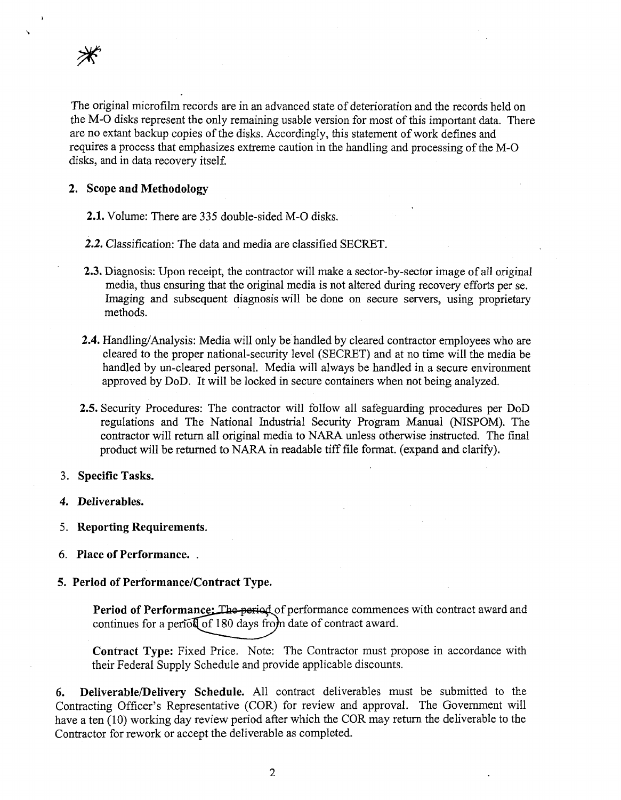

...

The original microfilm records are in an advanced state of deterioration and the records held on the M-0 disks represent the only remaining usable version for most of this important data. There are no extant backup copies of the disks. Accordingly, this statement of work defines and requires a process that emphasizes extreme caution in the handling and processing of the M-0 disks, and in data recovery itself.

#### **2. Scope and Methodology**

**2.1.** Volume: There are 335 double-sided M-0 disks.

**2.2.** Classification: The data and media are classified SECRET.

- **2.3.** Diagnosis: Upon receipt, the contractor will make a sector-by-sector image of all original media, thus ensuring that the original media is not altered during recovery efforts per se. Imaging and subsequent diagnosis will be done on secure servers, using proprietary methods.
- **2.4.** Handling/Analysis: Media will only be handled by cleared contractor employees who are cleared to the proper national-security level (SECRET) and at no time will the media be handled by un-cleared personal. Media will always be handled in a secure environment approved by DoD. It will be locked in secure containers when not being analyzed.
- **2.5.** Security Procedures: The contractor will follow all safeguarding procedures per DoD regulations and The National Industrial Security Program Manual (NISPOM). The contractor will return all original media to NARA unless otherwise instructed. The final product will be returned to NARA in readable tiff file format. (expand and clarify).

#### 3. **Specific Tasks.**

- **4. Deliverables.**
- 5. **Reporting Requirements.**
- 6. **Place of Performance.** .

#### **5. Period of Performance/Contract Type.**

Period of Performance: The period of performance commences with contract award and continues for a period of 180 days from date of contract award.

**Contract Type:** Fixed Price. Note: The Contractor must propose in accordance with their Federal Supply Schedule and provide applicable discounts.

**6. Deliverable/Delivery Schedule.** All contract deliverables must be submitted to the Contracting Officer's Representative (COR) for review and approval. The Government will have a ten (10) working day review period after which the COR may return the deliverable to the Contractor for rework or accept the deliverable as completed.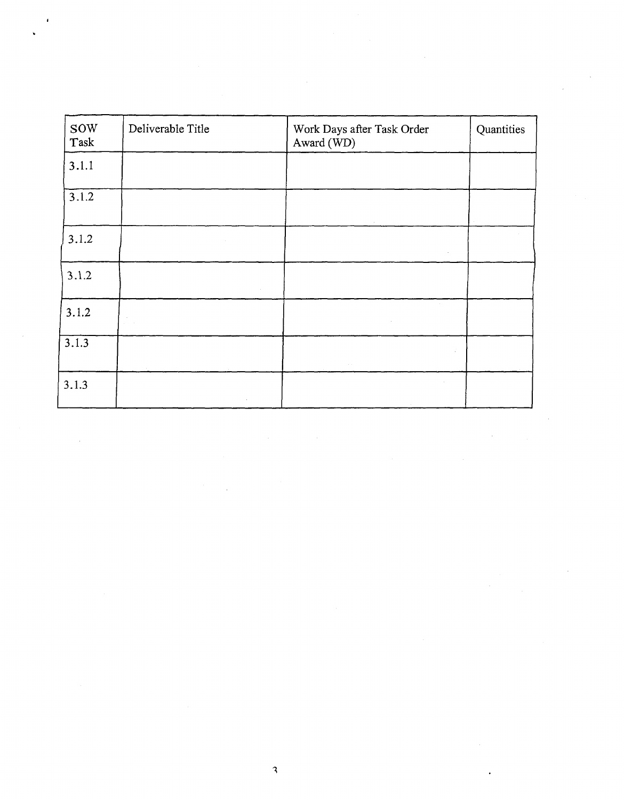| <b>SOW</b><br>Task | Deliverable Title                                                   | Work Days after Task Order<br>Award (WD)                                                                                                                                     | Quantities |
|--------------------|---------------------------------------------------------------------|------------------------------------------------------------------------------------------------------------------------------------------------------------------------------|------------|
| 3.1.1              |                                                                     |                                                                                                                                                                              |            |
| 3.1.2              |                                                                     |                                                                                                                                                                              |            |
| 3.1.2              | $\sim 10$                                                           |                                                                                                                                                                              |            |
| 3.1.2              | $\sim$                                                              |                                                                                                                                                                              |            |
| 3.1.2              | $\mathcal{L}^{\text{max}}_{\text{max}}$                             |                                                                                                                                                                              |            |
| 3.1.3              |                                                                     | $\mathcal{L}$<br>$\sim 10^{-1}$                                                                                                                                              |            |
| 3.1.3              |                                                                     | $\sim$ $\alpha$                                                                                                                                                              |            |
|                    |                                                                     | <b>Contractor</b>                                                                                                                                                            |            |
|                    | $\sim 10^{11}$ m $^{-1}$<br>$\mathcal{L}^{\text{max}}_{\text{max}}$ | $\mathcal{L}^{\mathcal{L}}(\mathcal{L}^{\mathcal{L}})$ and $\mathcal{L}^{\mathcal{L}}(\mathcal{L}^{\mathcal{L}})$ and $\mathcal{L}^{\mathcal{L}}(\mathcal{L}^{\mathcal{L}})$ |            |
|                    |                                                                     |                                                                                                                                                                              |            |

 $\mathbf{3}$ 

 $\label{eq:2.1} \frac{1}{\sqrt{2}}\left(\frac{1}{\sqrt{2}}\right)^{2} \left(\frac{1}{\sqrt{2}}\right)^{2} \left(\frac{1}{\sqrt{2}}\right)^{2} \left(\frac{1}{\sqrt{2}}\right)^{2} \left(\frac{1}{\sqrt{2}}\right)^{2} \left(\frac{1}{\sqrt{2}}\right)^{2} \left(\frac{1}{\sqrt{2}}\right)^{2} \left(\frac{1}{\sqrt{2}}\right)^{2} \left(\frac{1}{\sqrt{2}}\right)^{2} \left(\frac{1}{\sqrt{2}}\right)^{2} \left(\frac{1}{\sqrt{2}}\right)^{2} \left(\$ 

 $\label{eq:2.1} \frac{1}{\sqrt{2\pi}}\frac{1}{\sqrt{2\pi}}\frac{1}{\sqrt{2\pi}}\frac{1}{\sqrt{2\pi}}\frac{1}{\sqrt{2\pi}}\frac{1}{\sqrt{2\pi}}\frac{1}{\sqrt{2\pi}}\frac{1}{\sqrt{2\pi}}\frac{1}{\sqrt{2\pi}}\frac{1}{\sqrt{2\pi}}\frac{1}{\sqrt{2\pi}}\frac{1}{\sqrt{2\pi}}\frac{1}{\sqrt{2\pi}}\frac{1}{\sqrt{2\pi}}\frac{1}{\sqrt{2\pi}}\frac{1}{\sqrt{2\pi}}\frac{1}{\sqrt{2\pi}}\frac{1}{\sqrt$ 

 $\mathcal{L}^{\text{max}}_{\text{max}}$  and  $\mathcal{L}^{\text{max}}_{\text{max}}$ 

 $\label{eq:2} \frac{1}{\sqrt{2}}\left(\frac{1}{\sqrt{2}}\right)^{2} \frac{1}{\sqrt{2}}\left(\frac{1}{\sqrt{2}}\right)^{2}$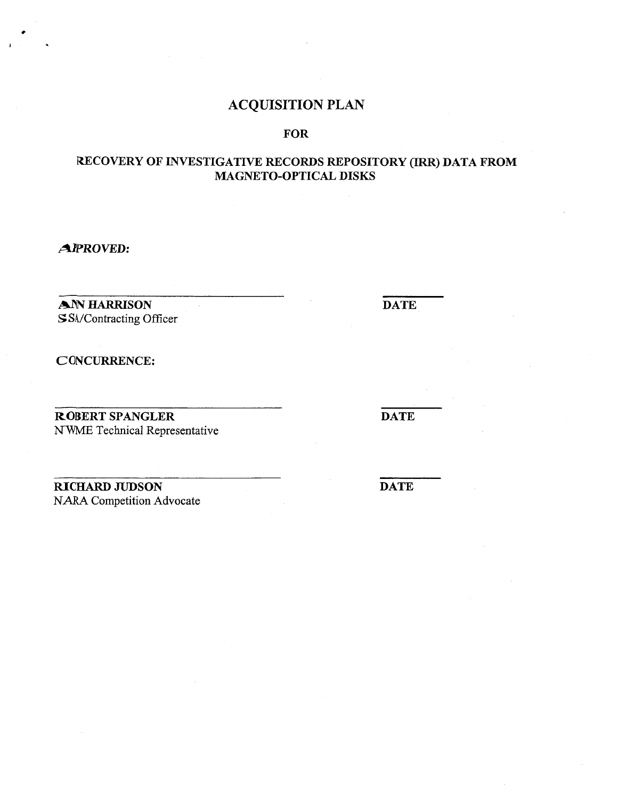## ACQUISITION PLAN

## FOR

## RECOVERY OF INVESTIGATIVE RECORDS REPOSITORY (IRR) DATA FROM MAGNETO-OPTICAL DISKS

AJPROVED:

AN HARRISON SSA/Contracting Officer

CONCURRENCE:

ROBERT SPANGLER NWME Technical Representative

RICHARD JUDSON NARA Competition Advocate

**DATE** 

**DATE** 

**DATE**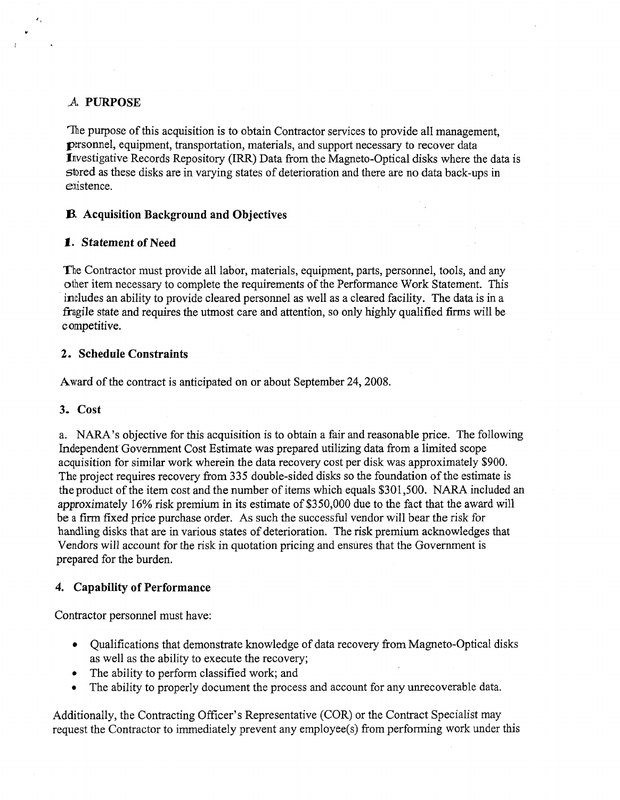## \_A, **PURPOSE**

..

 $\mathbf{z}_k$ 

The purpose of this acquisition is to obtain Contractor services to provide all management, personnel, equipment, transportation, materials, and support necessary to recover data Investigative Records Repository (IRR) Data from the Magneto-Optical disks where the data is stored as these disks are in varying states of deterioration and there are no data back-ups in existence.

## **13. Acquisition Background and Objectives**

## **1. Statement of Need**

The Contractor must provide all labor, materials, equipment, parts, personnel, tools, and any other item necessary to complete the requirements of the Performance Work Statement. This includes an ability to provide cleared personnel as well as a cleared facility. The data is in a fragile state and requires the utmost care and attention, so only highly qualified firms will be competitive.

## **2. Schedule Constraints**

Award of the contract is anticipated on or about September 24, 2008.

## **3. Cost**

a. NARA's objective for this acquisition is to obtain a fair and reasonable price. The following Independent Government Cost Estimate was prepared utilizing data from a limited scope acquisition for similar work wherein the data recovery cost per disk was approximately \$900. The project requires recovery from 335 double-sided disks so the foundation of the estimate is the product of the item cost and the number of items which equals \$301,500. NARA included an approximately 16% risk premium in its estimate of \$350,000 due to the fact that the award will be a firm fixed price purchase order. As such the successful vendor will bear the risk for handling disks that are in various states of deterioration. The risk premium acknowledges that Vendors will account for the risk in quotation pricing and ensures that the Government is prepared for the burden.

## **4. Capability of Performance**

Contractor personnel must have:

- Qualifications that demonstrate knowledge of data recovery from Magneto-Optical disks as well as the ability to execute the recovery;
- The ability to perform classified work; and
- The ability to properly document the process and account for any unrecoverable data.

Additionally, the Contracting Officer's Representative (COR) or the Contract Specialist may request the Contractor to immediately prevent any employee(s) from performing work under this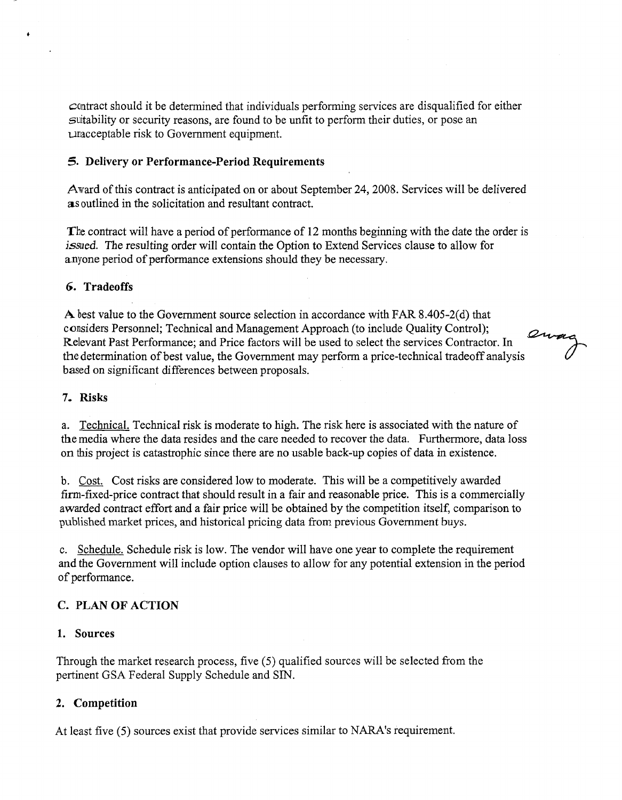contract should it be determined that individuals performing services are disqualified for either suitability or security reasons, are found to be unfit to perform their duties, or pose an unacceptable risk to Government equipment.

#### **5. Delivery or Performance-Period Requirements**

Award of this contract is anticipated on or about September 24, 2008. Services will be delivered as outlined in the solicitation and resultant contract.

The contract will have a period of performance of 12 months beginning with the date the order is *issued.* The resulting order will contain the Option to Extend Services clause to allow for anyone period of performance extensions should they be necessary.

#### **6. Tradeoffs**

 $\ddot{\phantom{1}}$ 

**A** best value to the Government source selection in accordance with FAR 8.405-2(d) that considers Personnel; Technical and Management Approach (to include Quality Control); the determination of best value, the Government may perform a price-technical tradeoff analysis Relevant Past Performance; and Price factors will be used to select the services Contractor.  $\ln$   $\frac{2w_{\text{avg}}}{2}$ based on significant differences between proposals.

*(}* ,

#### **7. Risks**

a. Technical. Technical risk is moderate to high. The risk here is associated with the nature of the media where the data resides and the care needed to recover the data. Furthermore, data loss on this project is catastrophic since there are no usable back-up copies of data in existence.

b. Cost. Cost risks are considered low to moderate. This will be a competitively awarded firm-fixed-price contract that should result in a fair and reasonable price. This is a commercially awarded contract effort and a fair price will be obtained by the competition itself, comparison to published market prices, and historical pricing data from previous Government buys.

c. Schedule. Schedule risk is low. The vendor will have one year to complete the requirement and the Government will include option clauses to allow for any potential extension in the period of performance.

#### **C. PLAN OF ACTION**

#### **1. Sources**

Through the market research process, five (5) qualified sources will be selected from the pertinent GSA Federal Supply Schedule and SIN.

#### **2. Competition**

At least five (5) sources exist that provide services similar to NARA's requirement.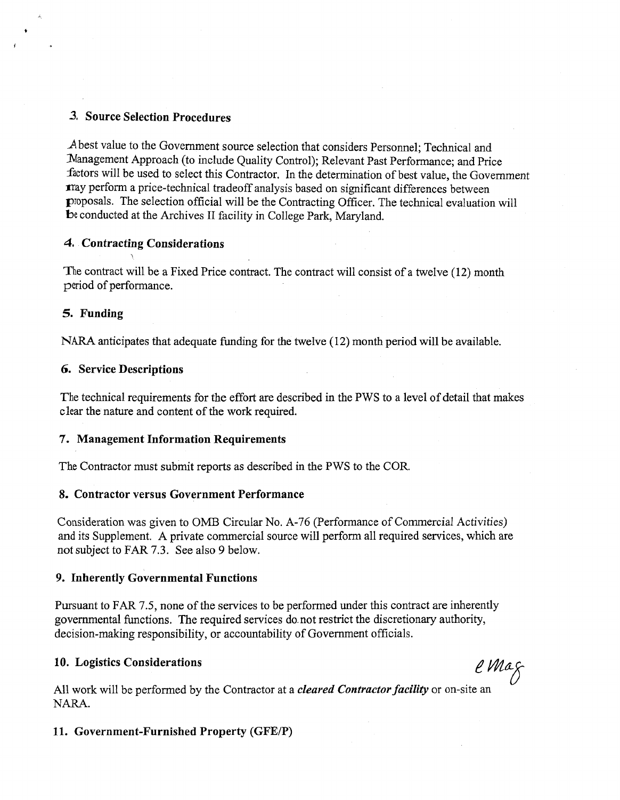### *3,* Source Selection Procedures

.A best value to the Government source selection that considers Personnel; Technical and Management Approach (to include Quality Control); Relevant Past Performance; and Price factors will be used to select this Contractor. In the determination of best value, the Government may perform a price-technical tradeoff analysis based on significant differences between proposals. The selection official will be the Contracting Officer. The technical evaluation will be conducted at the Archives II facility in College Park, Maryland.

#### 4. Contracting Considerations

The contract will be a Fixed Price contract. The contract will consist of a twelve (12) month period of performance.

#### 5. Funding

NARA anticipates that adequate funding for the twelve (12) month period will be available.

#### 6. Service Descriptions

The technical requirements for the effort are described in the PWS to a level of detail that makes clear the nature and content of the work required.

#### 7. Management Information Requirements

The Contractor must submit reports as described in the PWS to the COR.

#### 8. Contractor versus Government Performance

Consideration was given to OMB Circular No. A-76 (Performance of Commercial Activities) and its Supplement. A private commercial source will perform all required services, which are not subject to FAR 7.3. See also *9* below.

### 9. Inherently Governmental Functions

Pursuant to FAR 7.5, none of the services to be performed under this contract are inherently governmental functions. The required services do. not restrict the discretionary authority, decision-making responsibility, or accountability of Government officials.

# 10. Logistics Considerations *e Ma. S. A. B. A. B. A. B. A. B. A. B. A. B. A. B. A. B. A. B. A. B. A. B. A. B. A. B. A. B. A. B. A. B. A. B. A. B. A. B. A. B. A. B. A. B. A. B. A. B. A. B. A. B. A. B. A. B. A. B. A. B. A.*

All work will be performed by the Contractor at a *cleared Contractor faciltty* or on-site an NARA.

### 11. Government-Furnished Property (GFE/P)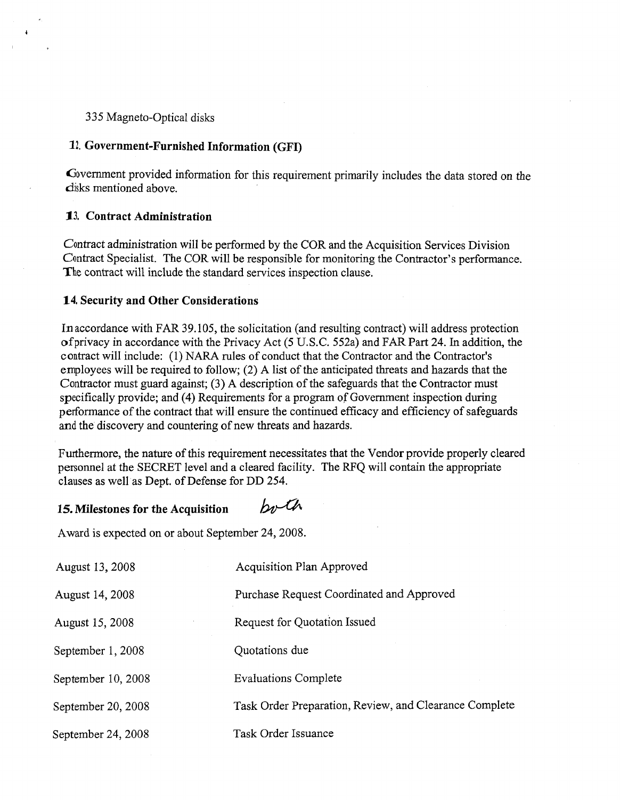### 335 Magneto-Optical disks

#### **12. Government-Furnished Information (GFI)**

Government provided information for this requirement primarily includes the data stored on the disks mentioned above.

### **13. Contract Administration**

Contract administration will be performed by the COR and the Acquisition Services Division Contract Specialist. The COR will be responsible for monitoring the Contractor's performance. The contract will include the standard services inspection clause.

#### **14. Security and Other Considerations**

In accordance with FAR 39 .105, the solicitation (and resulting contract) will address protection of privacy in accordance with the Privacy Act (5 U.S.C. 552a) and FAR Part 24. In addition, the contract will include: (1) NARA rules of conduct that the Contractor and the Contractor's employees will be required to follow; (2) A list of the anticipated threats and hazards that the Contractor must guard against; (3) A description of the safeguards that the Contractor must specifically provide; and (4) Requirements for a program of Government inspection during performance of the contract that will ensure the continued efficacy and efficiency of safeguards and the discovery and countering of new threats and hazards.

Furthermore, the nature of this requirement necessitates that the Vendor provide properly cleared personnel at the SECRET level and a cleared facility. The RFQ will contain the appropriate clauses as well as Dept. of Defense for DD 254.

#### both **15. Milestones for the Acquisition**

Award is expected on or about September 24, 2008.

| August 13, 2008    | <b>Acquisition Plan Approved</b>                       |
|--------------------|--------------------------------------------------------|
| August 14, 2008    | Purchase Request Coordinated and Approved              |
| August 15, 2008    | Request for Quotation Issued                           |
| September 1, 2008  | Quotations due                                         |
| September 10, 2008 | <b>Evaluations Complete</b>                            |
| September 20, 2008 | Task Order Preparation, Review, and Clearance Complete |
| September 24, 2008 | Task Order Issuance                                    |